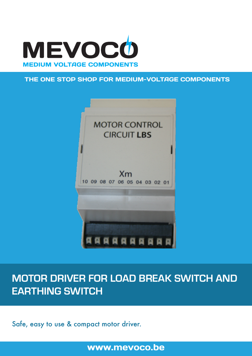

## THE ONE STOP SHOP FOR MEDIUM-VOLTAGE COMPONENTS



# **MOTOR DRIVER FOR LOAD BREAK SWITCH AND EARTHING SWITCH**

Safe, easy to use & compact motor driver.

www.mevoco.be